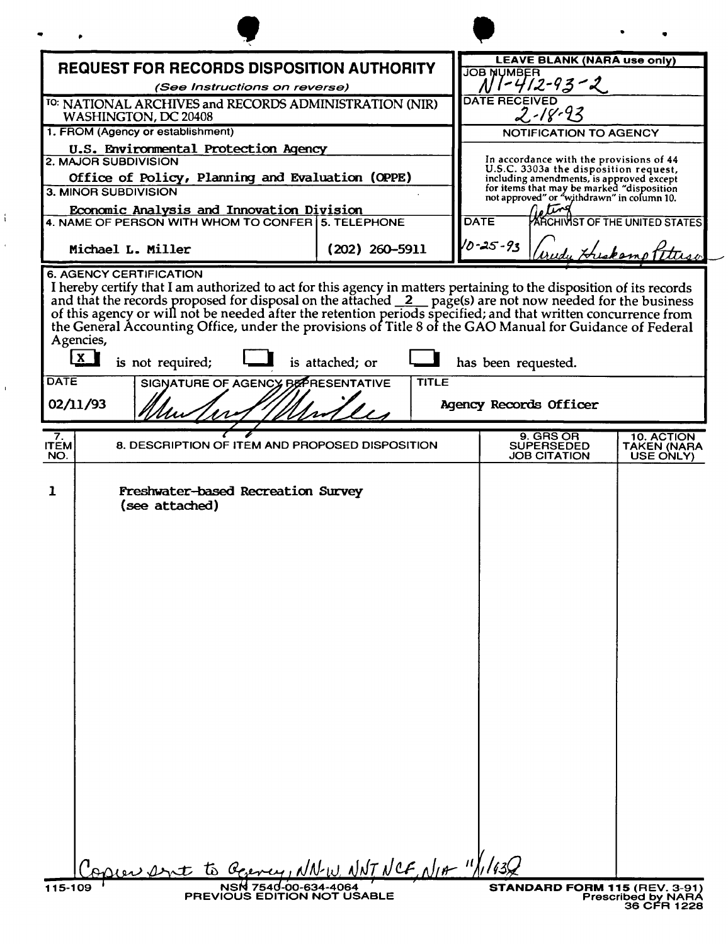|                                                                                                                                                                                                                                                                                                                                                                                                                                                                                                                                                                              |                                 |                                                                                                                                                                                                                                                                                | N W ML                                 |
|------------------------------------------------------------------------------------------------------------------------------------------------------------------------------------------------------------------------------------------------------------------------------------------------------------------------------------------------------------------------------------------------------------------------------------------------------------------------------------------------------------------------------------------------------------------------------|---------------------------------|--------------------------------------------------------------------------------------------------------------------------------------------------------------------------------------------------------------------------------------------------------------------------------|----------------------------------------|
|                                                                                                                                                                                                                                                                                                                                                                                                                                                                                                                                                                              |                                 | <b>LEAVE BLANK (NARA use only)</b>                                                                                                                                                                                                                                             |                                        |
| <b>REQUEST FOR RECORDS DISPOSITION AUTHORITY</b><br>(See Instructions on reverse)                                                                                                                                                                                                                                                                                                                                                                                                                                                                                            |                                 | <b>JOB NUMBER</b><br>$1 - 412 - 93 - 2$                                                                                                                                                                                                                                        |                                        |
| <sup>TO:</sup> NATIONAL ARCHIVES and RECORDS ADMINISTRATION (NIR)<br>WASHINGTON, DC 20408                                                                                                                                                                                                                                                                                                                                                                                                                                                                                    |                                 | <b>DATE RECEIVED</b><br>2.18.93                                                                                                                                                                                                                                                |                                        |
| 1. FROM (Agency or establishment)                                                                                                                                                                                                                                                                                                                                                                                                                                                                                                                                            |                                 | <b>NOTIFICATION TO AGENCY</b>                                                                                                                                                                                                                                                  |                                        |
| U.S. Environmental Protection Agency<br>2. MAJOR SUBDIVISION<br>Office of Policy, Planning and Evaluation (OPPE)<br>3. MINOR SUBDIVISION                                                                                                                                                                                                                                                                                                                                                                                                                                     |                                 | In accordance with the provisions of 44<br>U.S.C. 3303a the disposition request,<br>including amendments, is approved except<br>for items that may be marked "disposition<br>not approved" or "withdrawn" in column 10.<br>או<br><b>DATE</b><br>ARCHIVIST OF THE UNITED STATES |                                        |
| Economic Analysis and Innovation Division<br>4. NAME OF PERSON WITH WHOM TO CONFER 5. TELEPHONE                                                                                                                                                                                                                                                                                                                                                                                                                                                                              |                                 |                                                                                                                                                                                                                                                                                |                                        |
| Michael L. Miller                                                                                                                                                                                                                                                                                                                                                                                                                                                                                                                                                            | $(202)$ 260-5911                | 10-25-93                                                                                                                                                                                                                                                                       | edy Hriskomot                          |
| I hereby certify that I am authorized to act for this agency in matters pertaining to the disposition of its records<br>and that the records proposed for disposal on the attached 2 page(s) are not now needed for the business of this agency or will not be needed after the retention periods specified; and that written concurrence from<br>the General Accounting Office, under the provisions of Title 8 of the GAO Manual for Guidance of Federal<br>Agencies,<br>$\mathbf{X}$<br>is not required;<br><b>DATE</b><br>SIGNATURE OF AGENCY BEPRESENTATIVE<br>02/11/93 | is attached; or<br><b>TITLE</b> | has been requested.<br>Agency Records Officer                                                                                                                                                                                                                                  |                                        |
| 7.<br>8. DESCRIPTION OF ITEM AND PROPOSED DISPOSITION<br><b>ITEM</b><br>NO.                                                                                                                                                                                                                                                                                                                                                                                                                                                                                                  |                                 | 9. GRS OR<br><b>SUPERSEDED</b><br><b>JOB CITATION</b>                                                                                                                                                                                                                          | 10. ACTION<br>TAKEN (NARA<br>USE ONLY) |
| 1<br>Freshwater-based Recreation Survey<br>(see attached)<br>opier ant to George, NNW. NNT NCF, NIA "1/1/130                                                                                                                                                                                                                                                                                                                                                                                                                                                                 |                                 |                                                                                                                                                                                                                                                                                |                                        |
|                                                                                                                                                                                                                                                                                                                                                                                                                                                                                                                                                                              | NSN 7540-00-634-4064            | STANDARD FORM 115 (REV. 3-91)                                                                                                                                                                                                                                                  |                                        |

 $\mathbf{f}$ 

 $\hat{\epsilon}$ 

 $\bar{\mathbf{r}}$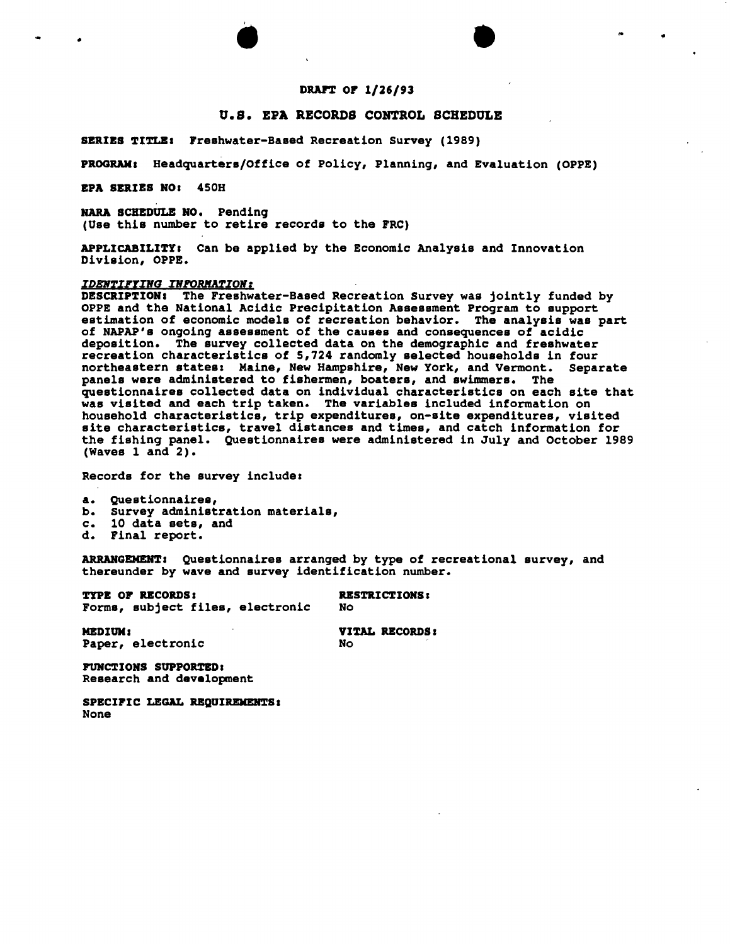# DRAFT OF 1/26/93

..

NWML

### O.S. EPA RECORDS CONTROL SCHEDULB

SERIES TITLE: Freshwater-Based Recreation Survey (1989)

PROGRAM. Headquarters/Office of Policy, Planning, and Evaluation (OPPE)

EPA SERIES HO. 450H

NARA SCHEDULE NO. Pending (Use this number to retire records to the FRC)

APPLICABILITY. Can be applied by the Economic Analysis and Innovation Division, OPPE.

## **IDENTIFYING INFORMATION:**

DESCRIPTIOH. The Freshwater-Based Recreation Survey was jointly funded by OPPE and the National Acidic Precipitation Assessment Program to support estimation of economic models of recreation behavior. The analysis was part of NAPAP's ongoing assessment of the causes and consequences of acidic deposition. The survey collected data on the demographic and freshwater recreation characteristics of 5,724 randomly selected households in four northeastern states: Maine, New Hampshire, New York, and Vermont. Separate panels were administered to fishermen, boaters, and swimmers. The questionnaires collected data on individual characteristics on each site that was visited and each trip taken. The variables included information on household characteristics, trip expenditures, on-site expenditures, visited site characteristics, travel distances and times, and catch information for the fishing panel. Questionnaires were administered in July and October 1989 (Waves 1 and 2).

Records for the survey include:

a. Questionnaires,

- b. Survey administration materials,<br>c. 10 data sets, and c. 10 data sets, and<br>d. Final report.
- 
- Final report.

ARRAHGEMEHTI Questionnaires arranged by type of recreational survey, and thereunder by wave and survey identification number.

TYPE OF RECORDS. Forms, subject files, electronic RESTRICTIONS I No

MEDIUM. Paper, electronic

VITAL RECORDS. No

FUNCTIONS SUPPORrEDI Research and development

SPECIFIC LEGAL REQUIREMENTS: None